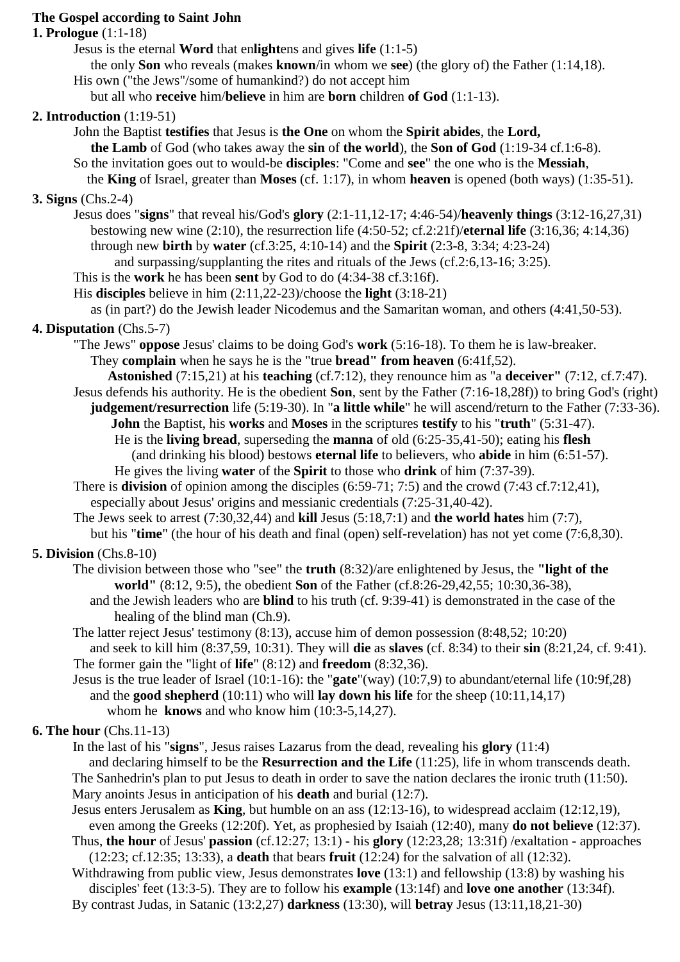#### **The Gospel according to Saint John**

#### **1. Prologue** (1:1-18)

Jesus is the eternal **Word** that en**light**ens and gives **life** (1:1-5)

the only **Son** who reveals (makes **known**/in whom we **see**) (the glory of) the Father (1:14,18).

- His own ("the Jews"/some of humankind?) do not accept him
- but all who **receive** him/**believe** in him are **born** children **of God** (1:1-13).

## **2. Introduction** (1:19-51)

- John the Baptist **testifies** that Jesus is **the One** on whom the **Spirit abides**, the **Lord,**
	- **the Lamb** of God (who takes away the **sin** of **the world**), the **Son of God** (1:19-34 cf.1:6-8).
- So the invitation goes out to would-be **disciples**: "Come and **see**" the one who is the **Messiah**,
- the **King** of Israel, greater than **Moses** (cf. 1:17), in whom **heaven** is opened (both ways) (1:35-51).

### **3. Signs** (Chs.2-4)

- Jesus does "**signs**" that reveal his/God's **glory** (2:1-11,12-17; 4:46-54)/**heavenly things** (3:12-16,27,31) bestowing new wine (2:10), the resurrection life (4:50-52; cf.2:21f)/**eternal life** (3:16,36; 4:14,36) through new **birth** by **water** (cf.3:25, 4:10-14) and the **Spirit** (2:3-8, 3:34; 4:23-24)
	- and surpassing/supplanting the rites and rituals of the Jews (cf.2:6,13-16; 3:25).

#### This is the **work** he has been **sent** by God to do (4:34-38 cf.3:16f).

His **disciples** believe in him (2:11,22-23)/choose the **light** (3:18-21)

as (in part?) do the Jewish leader Nicodemus and the Samaritan woman, and others (4:41,50-53).

### **4. Disputation** (Chs.5-7)

- "The Jews" **oppose** Jesus' claims to be doing God's **work** (5:16-18). To them he is law-breaker. They **complain** when he says he is the "true **bread" from heaven** (6:41f,52).
- **Astonished** (7:15,21) at his **teaching** (cf.7:12), they renounce him as "a **deceiver"** (7:12, cf.7:47).
- Jesus defends his authority. He is the obedient **Son**, sent by the Father (7:16-18,28f)) to bring God's (right)
	- **judgement/resurrection** life (5:19-30). In "**a little while**" he will ascend/return to the Father (7:33-36). **John** the Baptist, his **works** and **Moses** in the scriptures **testify** to his "**truth**" (5:31-47).
		- He is the **living bread**, superseding the **manna** of old (6:25-35,41-50); eating his **flesh** (and drinking his blood) bestows **eternal life** to believers, who **abide** in him (6:51-57). He gives the living **water** of the **Spirit** to those who **drink** of him (7:37-39).
- There is **division** of opinion among the disciples (6:59-71; 7:5) and the crowd (7:43 cf.7:12,41), especially about Jesus' origins and messianic credentials (7:25-31,40-42).
- The Jews seek to arrest (7:30,32,44) and **kill** Jesus (5:18,7:1) and **the world hates** him (7:7), but his "**time**" (the hour of his death and final (open) self-revelation) has not yet come (7:6,8,30).

## **5. Division** (Chs.8-10)

- The division between those who "see" the **truth** (8:32)/are enlightened by Jesus, the **"light of the world"** (8:12, 9:5), the obedient **Son** of the Father (cf.8:26-29,42,55; 10:30,36-38),
	- and the Jewish leaders who are **blind** to his truth (cf. 9:39-41) is demonstrated in the case of the healing of the blind man (Ch.9).
- The latter reject Jesus' testimony (8:13), accuse him of demon possession (8:48,52; 10:20) and seek to kill him (8:37,59, 10:31). They will **die** as **slaves** (cf. 8:34) to their **sin** (8:21,24, cf. 9:41). The former gain the "light of **life**" (8:12) and **freedom** (8:32,36).
- Jesus is the true leader of Israel (10:1-16): the "**gate**"(way) (10:7,9) to abundant/eternal life (10:9f,28) and the **good shepherd** (10:11) who will **lay down his life** for the sheep (10:11,14,17) whom he **knows** and who know him (10:3-5,14,27).

## **6. The hour** (Chs.11-13)

In the last of his "**signs**", Jesus raises Lazarus from the dead, revealing his **glory** (11:4)

 and declaring himself to be the **Resurrection and the Life** (11:25), life in whom transcends death. The Sanhedrin's plan to put Jesus to death in order to save the nation declares the ironic truth (11:50). Mary anoints Jesus in anticipation of his **death** and burial (12:7).

Jesus enters Jerusalem as **King**, but humble on an ass (12:13-16), to widespread acclaim (12:12,19),

 even among the Greeks (12:20f). Yet, as prophesied by Isaiah (12:40), many **do not believe** (12:37). Thus, **the hour** of Jesus' **passion** (cf.12:27; 13:1) - his **glory** (12:23,28; 13:31f) /exaltation - approaches

 (12:23; cf.12:35; 13:33), a **death** that bears **fruit** (12:24) for the salvation of all (12:32). Withdrawing from public view, Jesus demonstrates **love** (13:1) and fellowship (13:8) by washing his

 disciples' feet (13:3-5). They are to follow his **example** (13:14f) and **love one another** (13:34f). By contrast Judas, in Satanic (13:2,27) **darkness** (13:30), will **betray** Jesus (13:11,18,21-30)